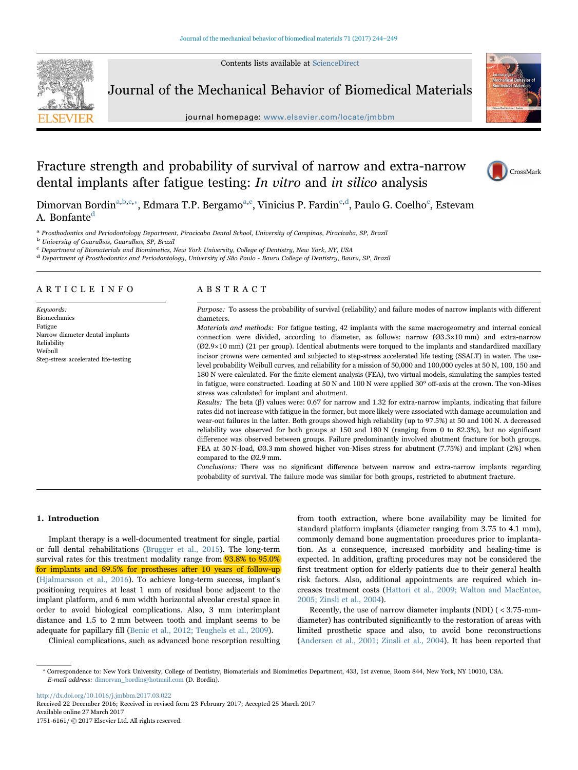Contents lists available at [ScienceDirect](http://www.sciencedirect.com/science/journal/17516161)



Journal of the Mechanical Behavior of Biomedical Materials

journal homepage: [www.elsevier.com/locate/jmbbm](http://www.elsevier.com/locate/jmbbm)



# Fracture strength and probability of survival of narrow and extra-narrow dental implants after fatigue testing: In vitro and in silico analysis



Dimorvan Bordin<sup>[a,](#page-0-0)[b,](#page-0-1)[c,](#page-0-2)</sup>\*[, Edmara T.P. Bergamo](#page-0-3)<sup>[a,c](#page-0-0)</sup>[,](#page-0-2) [Vinicius](#page-0-2) [P.](#page-0-2) [Fardin](#page-0-2)<sup>c,d</sup>, Paulo G. Coelho<sup>c</sup>[, Estevam](#page-0-2) A. Bonfante<sup>[d](#page-0-4)</sup>

<span id="page-0-0"></span><sup>a</sup> Prosthodontics and Periodontology Department, Piracicaba Dental School, University of Campinas, Piracicaba, SP, Brazil

<span id="page-0-1"></span><sup>b</sup> University of Guarulhos, Guarulhos, SP, Brazil

<span id="page-0-2"></span><sup>c</sup> Department of Biomaterials and Biomimetics, New York University, College of Dentistry, New York, NY, USA

<span id="page-0-4"></span><sup>d</sup> Department of Prosthodontics and Periodontology, University of São Paulo - Bauru College of Dentistry, Bauru, SP, Brazil

## ARTICLE INFO

Keywords: Biomechanics Fatigue Narrow diameter dental implants Reliability Weibull Step-stress accelerated life-testing

## ABSTRACT

Purpose: To assess the probability of survival (reliability) and failure modes of narrow implants with different diameters.

Materials and methods: For fatigue testing, 42 implants with the same macrogeometry and internal conical connection were divided, according to diameter, as follows: narrow (Ø3.3×10 mm) and extra-narrow (Ø2.9×10 mm) (21 per group). Identical abutments were torqued to the implants and standardized maxillary incisor crowns were cemented and subjected to step-stress accelerated life testing (SSALT) in water. The uselevel probability Weibull curves, and reliability for a mission of 50,000 and 100,000 cycles at 50 N, 100, 150 and 180 N were calculated. For the finite element analysis (FEA), two virtual models, simulating the samples tested in fatigue, were constructed. Loading at 50 N and 100 N were applied 30° off-axis at the crown. The von-Mises stress was calculated for implant and abutment.

Results: The beta (β) values were: 0.67 for narrow and 1.32 for extra-narrow implants, indicating that failure rates did not increase with fatigue in the former, but more likely were associated with damage accumulation and wear-out failures in the latter. Both groups showed high reliability (up to 97.5%) at 50 and 100 N. A decreased reliability was observed for both groups at 150 and 180 N (ranging from 0 to 82.3%), but no significant difference was observed between groups. Failure predominantly involved abutment fracture for both groups. FEA at 50 N-load, Ø3.3 mm showed higher von-Mises stress for abutment (7.75%) and implant (2%) when compared to the Ø2.9 mm.

Conclusions: There was no significant difference between narrow and extra-narrow implants regarding probability of survival. The failure mode was similar for both groups, restricted to abutment fracture.

#### 1. Introduction

Implant therapy is a well-documented treatment for single, partial or full dental rehabilitations [\(Brugger et al., 2015](#page-5-0)). The long-term survival rates for this treatment modality range from **93.8% to 95.0%** for implants and 89.5% for prostheses after 10 years of follow-up ([Hjalmarsson et al., 2016\)](#page-5-1). To achieve long-term success, implant's positioning requires at least 1 mm of residual bone adjacent to the implant platform, and 6 mm width horizontal alveolar crestal space in order to avoid biological complications. Also, 3 mm interimplant distance and 1.5 to 2 mm between tooth and implant seems to be adequate for papillary fill ([Benic et al., 2012; Teughels et al., 2009\)](#page-5-2).

Clinical complications, such as advanced bone resorption resulting

from tooth extraction, where bone availability may be limited for standard platform implants (diameter ranging from 3.75 to 4.1 mm), commonly demand bone augmentation procedures prior to implantation. As a consequence, increased morbidity and healing-time is expected. In addition, grafting procedures may not be considered the first treatment option for elderly patients due to their general health risk factors. Also, additional appointments are required which increases treatment costs ([Hattori et al., 2009; Walton and MacEntee,](#page-5-3) [2005; Zinsli et al., 2004\)](#page-5-3).

Recently, the use of narrow diameter implants (NDI) ( < 3.75-mmdiameter) has contributed significantly to the restoration of areas with limited prosthetic space and also, to avoid bone reconstructions ([Andersen et al., 2001; Zinsli et al., 2004\)](#page-5-4). It has been reported that

<http://dx.doi.org/10.1016/j.jmbbm.2017.03.022>

Received 22 December 2016; Received in revised form 23 February 2017; Accepted 25 March 2017 Available online 27 March 2017

1751-6161/ © 2017 Elsevier Ltd. All rights reserved.

<span id="page-0-3"></span><sup>⁎</sup> Correspondence to: New York University, College of Dentistry, Biomaterials and Biomimetics Department, 433, 1st avenue, Room 844, New York, NY 10010, USA. E-mail address: dimorvan\_bordin@hotmail.com (D. Bordin).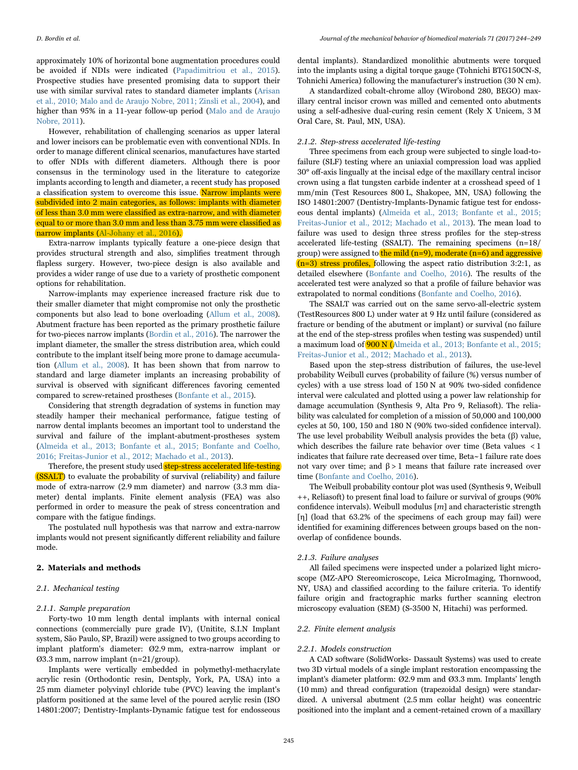approximately 10% of horizontal bone augmentation procedures could be avoided if NDIs were indicated ([Papadimitriou et al., 2015\)](#page-5-5). Prospective studies have presented promising data to support their use with similar survival rates to standard diameter implants ([Arisan](#page-5-6) [et al., 2010; Malo and de Araujo Nobre, 2011; Zinsli et al., 2004\)](#page-5-6), and higher than 95% in a 11-year follow-up period [\(Malo and de Araujo](#page-5-7) [Nobre, 2011](#page-5-7)).

However, rehabilitation of challenging scenarios as upper lateral and lower incisors can be problematic even with conventional NDIs. In order to manage different clinical scenarios, manufactures have started to offer NDIs with different diameters. Although there is poor consensus in the terminology used in the literature to categorize implants according to length and diameter, a recent study has proposed a classification system to overcome this issue. Narrow implants were subdivided into 2 main categories, as follows: implants with diameter of less than 3.0 mm were classified as extra-narrow, and with diameter equal to or more than 3.0 mm and less than 3.75 mm were classified as narrow implants [\(Al-Johany et al., 2016\)](#page-5-8).

Extra-narrow implants typically feature a one-piece design that provides structural strength and also, simplifies treatment through flapless surgery. However, two-piece design is also available and provides a wider range of use due to a variety of prosthetic component options for rehabilitation.

Narrow-implants may experience increased fracture risk due to their smaller diameter that might compromise not only the prosthetic components but also lead to bone overloading ([Allum et al., 2008\)](#page-5-9). Abutment fracture has been reported as the primary prosthetic failure for two-pieces narrow implants ([Bordin et al., 2016\)](#page-5-10). The narrower the implant diameter, the smaller the stress distribution area, which could contribute to the implant itself being more prone to damage accumulation ([Allum et al., 2008](#page-5-9)). It has been shown that from narrow to standard and large diameter implants an increasing probability of survival is observed with significant differences favoring cemented compared to screw-retained prostheses [\(Bonfante et al., 2015\)](#page-5-11).

Considering that strength degradation of systems in function may steadily hamper their mechanical performance, fatigue testing of narrow dental implants becomes an important tool to understand the survival and failure of the implant-abutment-prostheses system ([Almeida et al., 2013; Bonfante et al., 2015; Bonfante and Coelho,](#page-5-12) [2016; Freitas-Junior et al., 2012; Machado et al., 2013](#page-5-12)).

Therefore, the present study used step-stress accelerated life-testing (SSALT) to evaluate the probability of survival (reliability) and failure mode of extra-narrow (2.9 mm diameter) and narrow (3.3 mm diameter) dental implants. Finite element analysis (FEA) was also performed in order to measure the peak of stress concentration and compare with the fatigue findings.

The postulated null hypothesis was that narrow and extra-narrow implants would not present significantly different reliability and failure mode.

#### 2. Materials and methods

### 2.1. Mechanical testing

### 2.1.1. Sample preparation

Forty-two 10 mm length dental implants with internal conical connections (commercially pure grade IV), (Unitite, S.I.N Implant system, São Paulo, SP, Brazil) were assigned to two groups according to implant platform's diameter: Ø2.9 mm, extra-narrow implant or Ø3.3 mm, narrow implant (n=21/group).

Implants were vertically embedded in polymethyl-methacrylate acrylic resin (Orthodontic resin, Dentsply, York, PA, USA) into a 25 mm diameter polyvinyl chloride tube (PVC) leaving the implant's platform positioned at the same level of the poured acrylic resin (ISO 14801:2007; Dentistry-Implants-Dynamic fatigue test for endosseous

dental implants). Standardized monolithic abutments were torqued into the implants using a digital torque gauge (Tohnichi BTG150CN-S, Tohnichi America) following the manufacturer's instruction (30 N cm).

A standardized cobalt-chrome alloy (Wirobond 280, BEGO) maxillary central incisor crown was milled and cemented onto abutments using a self-adhesive dual-curing resin cement (Rely X Unicem, 3 M Oral Care, St. Paul, MN, USA).

## 2.1.2. Step-stress accelerated life-testing

Three specimens from each group were subjected to single load-tofailure (SLF) testing where an uniaxial compression load was applied 30° off-axis lingually at the incisal edge of the maxillary central incisor crown using a flat tungsten carbide indenter at a crosshead speed of 1 mm/min (Test Resources 800 L, Shakopee, MN, USA) following the ISO 14801:2007 (Dentistry-Implants-Dynamic fatigue test for endosseous dental implants) ([Almeida et al., 2013; Bonfante et al., 2015;](#page-5-12) [Freitas-Junior et al., 2012; Machado et al., 2013\)](#page-5-12). The mean load to failure was used to design three stress profiles for the step-stress accelerated life-testing (SSALT). The remaining specimens (n=18/ group) were assigned to the mild  $(n=9)$ , moderate  $(n=6)$  and aggressive  $(n=3)$  stress profiles, following the aspect ratio distribution 3:2:1, as detailed elsewhere [\(Bonfante and Coelho, 2016\)](#page-5-13). The results of the accelerated test were analyzed so that a profile of failure behavior was extrapolated to normal conditions [\(Bonfante and Coelho, 2016](#page-5-13)).

The SSALT was carried out on the same servo-all-electric system (TestResources 800 L) under water at 9 Hz until failure (considered as fracture or bending of the abutment or implant) or survival (no failure at the end of the step-stress profiles when testing was suspended) until a maximum load of 900 N ([Almeida et al., 2013; Bonfante et al., 2015;](#page-5-12) [Freitas-Junior et al., 2012; Machado et al., 2013](#page-5-12)).

Based upon the step-stress distribution of failures, the use-level probability Weibull curves (probability of failure (%) versus number of cycles) with a use stress load of 150 N at 90% two-sided confidence interval were calculated and plotted using a power law relationship for damage accumulation (Synthesis 9, Alta Pro 9, Reliasoft). The reliability was calculated for completion of a mission of 50,000 and 100,000 cycles at 50, 100, 150 and 180 N (90% two-sided confidence interval). The use level probability Weibull analysis provides the beta (β) value, which describes the failure rate behavior over time (Beta values < 1 indicates that failure rate decreased over time, Beta~1 failure rate does not vary over time; and  $β > 1$  means that failure rate increased over time [\(Bonfante and Coelho, 2016](#page-5-13)).

The Weibull probability contour plot was used (Synthesis 9, Weibull ++, Reliasoft) to present final load to failure or survival of groups (90% confidence intervals). Weibull modulus  $[m]$  and characteristic strength [η] (load that 63.2% of the specimens of each group may fail) were identified for examining differences between groups based on the nonoverlap of confidence bounds.

#### 2.1.3. Failure analyses

All failed specimens were inspected under a polarized light microscope (MZ-APO Stereomicroscope, Leica MicroImaging, Thornwood, NY, USA) and classified according to the failure criteria. To identify failure origin and fractographic marks further scanning electron microscopy evaluation (SEM) (S-3500 N, Hitachi) was performed.

#### 2.2. Finite element analysis

#### 2.2.1. Models construction

A CAD software (SolidWorks- Dassault Systems) was used to create two 3D virtual models of a single implant restoration encompassing the implant's diameter platform: Ø2.9 mm and Ø3.3 mm. Implants' length (10 mm) and thread configuration (trapezoidal design) were standardized. A universal abutment (2.5 mm collar height) was concentric positioned into the implant and a cement-retained crown of a maxillary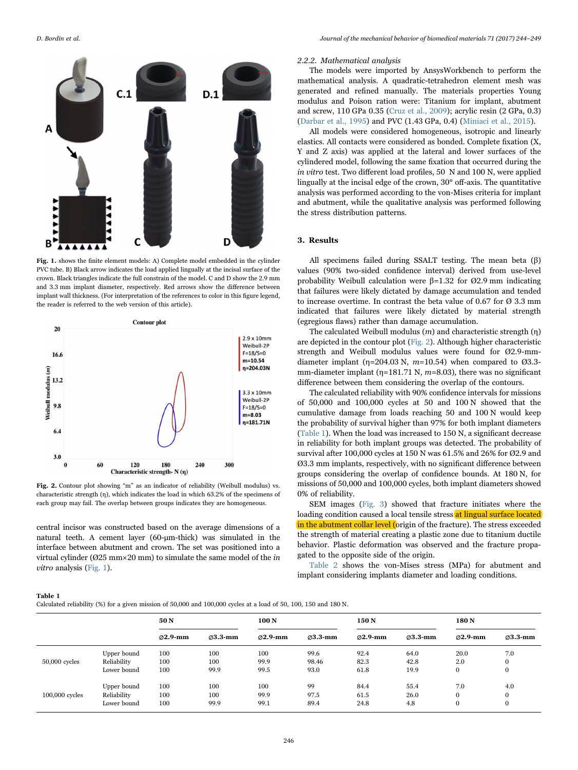<span id="page-2-0"></span>

Fig. 1. shows the finite element models: A) Complete model embedded in the cylinder PVC tube. B) Black arrow indicates the load applied lingually at the incisal surface of the crown. Black triangles indicate the full constrain of the model. C and D show the 2.9 mm and 3.3 mm implant diameter, respectively. Red arrows show the difference between implant wall thickness. (For interpretation of the references to color in this figure legend, the reader is referred to the web version of this article).

<span id="page-2-1"></span>

Fig. 2. Contour plot showing "m" as an indicator of reliability (Weibull modulus) vs. characteristic strength (η), which indicates the load in which 63.2% of the specimens of each group may fail. The overlap between groups indicates they are homogeneous.

central incisor was constructed based on the average dimensions of a natural teeth. A cement layer (60-μm-thick) was simulated in the interface between abutment and crown. The set was positioned into a virtual cylinder (Ø25 mm×20 mm) to simulate the same model of the in vitro analysis [\(Fig. 1](#page-2-0)).

#### 2.2.2. Mathematical analysis

The models were imported by AnsysWorkbench to perform the mathematical analysis. A quadratic-tetrahedron element mesh was generated and refined manually. The materials properties Young modulus and Poison ration were: Titanium for implant, abutment and screw, 110 GPa 0.35 [\(Cruz et al., 2009\)](#page-5-14); acrylic resin (2 GPa, 0.3) ([Darbar et al., 1995\)](#page-5-15) and PVC (1.43 GPa, 0.4) [\(Miniaci et al., 2015](#page-5-16)).

All models were considered homogeneous, isotropic and linearly elastics. All contacts were considered as bonded. Complete fixation (X, Y and Z axis) was applied at the lateral and lower surfaces of the cylindered model, following the same fixation that occurred during the in vitro test. Two different load profiles, 50 N and 100 N, were applied lingually at the incisal edge of the crown, 30° off-axis. The quantitative analysis was performed according to the von-Mises criteria for implant and abutment, while the qualitative analysis was performed following the stress distribution patterns.

#### 3. Results

All specimens failed during SSALT testing. The mean beta (β) values (90% two-sided confidence interval) derived from use-level probability Weibull calculation were β=1.32 for Ø2.9 mm indicating that failures were likely dictated by damage accumulation and tended to increase overtime. In contrast the beta value of 0.67 for  $\varnothing$  3.3 mm indicated that failures were likely dictated by material strength (egregious flaws) rather than damage accumulation.

The calculated Weibull modulus  $(m)$  and characteristic strength  $(η)$ are depicted in the contour plot [\(Fig. 2](#page-2-1)). Although higher characteristic strength and Weibull modulus values were found for Ø2.9-mmdiameter implant ( $\eta$ =204.03 N,  $m$ =10.54) when compared to Ø3.3mm-diameter implant ( $\eta$ =181.71 N,  $m$ =8.03), there was no significant difference between them considering the overlap of the contours.

The calculated reliability with 90% confidence intervals for missions of 50,000 and 100,000 cycles at 50 and 100 N showed that the cumulative damage from loads reaching 50 and 100 N would keep the probability of survival higher than 97% for both implant diameters ([Table 1\)](#page-2-2). When the load was increased to 150 N, a significant decrease in reliability for both implant groups was detected. The probability of survival after 100,000 cycles at 150 N was 61.5% and 26% for Ø2.9 and Ø3.3 mm implants, respectively, with no significant difference between groups considering the overlap of confidence bounds. At 180 N, for missions of 50,000 and 100,000 cycles, both implant diameters showed 0% of reliability.

SEM images [\(Fig. 3\)](#page-3-0) showed that fracture initiates where the loading condition caused a local tensile stress at lingual surface located in the abutment collar level (origin of the fracture). The stress exceeded the strength of material creating a plastic zone due to titanium ductile behavior. Plastic deformation was observed and the fracture propagated to the opposite side of the origin.

[Table 2](#page-3-1) shows the von-Mises stress (MPa) for abutment and implant considering implants diameter and loading conditions.

#### <span id="page-2-2"></span>Table 1

Calculated reliability (%) for a given mission of 50,000 and 100,000 cycles at a load of 50, 100, 150 and 180 N.

|                 | .           |                      |                      |                      |                      |                      |                      |                      |                      |
|-----------------|-------------|----------------------|----------------------|----------------------|----------------------|----------------------|----------------------|----------------------|----------------------|
|                 |             | 50 <sub>N</sub>      |                      | 100 <sub>N</sub>     |                      | 150 N                |                      | 180 <sub>N</sub>     |                      |
|                 |             | $\varnothing$ 2.9-mm | $\varnothing$ 3.3-mm | $\varnothing$ 2.9-mm | $\varnothing$ 3.3-mm | $\varnothing$ 2.9-mm | $\varnothing$ 3.3-mm | $\varnothing$ 2.9-mm | $\varnothing$ 3.3-mm |
| $50,000$ cycles | Upper bound | 100                  | 100                  | 100                  | 99.6                 | 92.4                 | 64.0                 | 20.0                 | 7.0                  |
|                 | Reliability | 100                  | 100                  | 99.9                 | 98.46                | 82.3                 | 42.8                 | 2.0                  | 0                    |
|                 | Lower bound | 100                  | 99.9                 | 99.5                 | 93.0                 | 61.8                 | 19.9                 | 0                    | $\bf{0}$             |
| 100,000 cycles  | Upper bound | 100                  | 100                  | 100                  | 99                   | 84.4                 | 55.4                 | 7.0                  | 4.0                  |
|                 | Reliability | 100                  | 100                  | 99.9                 | 97.5                 | 61.5                 | 26.0                 | $\mathbf{0}$         | $\mathbf{0}$         |
|                 | Lower bound | 100                  | 99.9                 | 99.1                 | 89.4                 | 24.8                 | 4.8                  | $\mathbf{0}$         | $\mathbf{0}$         |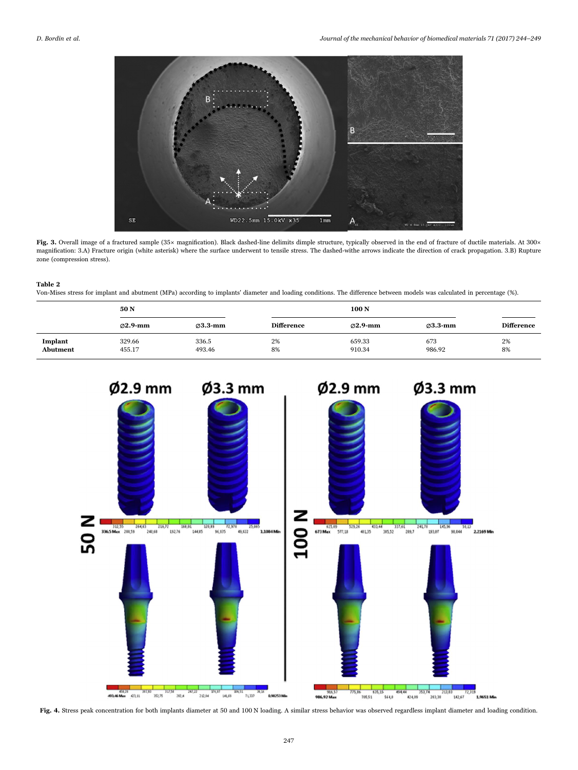<span id="page-3-0"></span>

Fig. 3. Overall image of a fractured sample (35× magnification). Black dashed-line delimits dimple structure, typically observed in the end of fracture of ductile materials. At 300× magnification: 3.A) Fracture origin (white asterisk) where the surface underwent to tensile stress. The dashed-withe arrows indicate the direction of crack propagation. 3.B) Rupture zone (compression stress).

#### <span id="page-3-1"></span>Table 2

Von-Mises stress for implant and abutment (MPa) according to implants' diameter and loading conditions. The difference between models was calculated in percentage (%).

|                     | 50 <sub>N</sub>      |                      | 100 <sub>N</sub>  |                      |                      |                   |  |
|---------------------|----------------------|----------------------|-------------------|----------------------|----------------------|-------------------|--|
|                     | $\varnothing$ 2.9-mm | $\varnothing$ 3.3-mm | <b>Difference</b> | $\varnothing$ 2.9-mm | $\varnothing$ 3.3-mm | <b>Difference</b> |  |
| Implant<br>Abutment | 329.66<br>455.17     | 336.5<br>493.46      | 2%<br>8%          | 659.33<br>910.34     | 673<br>986.92        | 2%<br>8%          |  |

<span id="page-3-2"></span>

Fig. 4. Stress peak concentration for both implants diameter at 50 and 100 N loading. A similar stress behavior was observed regardless implant diameter and loading condition.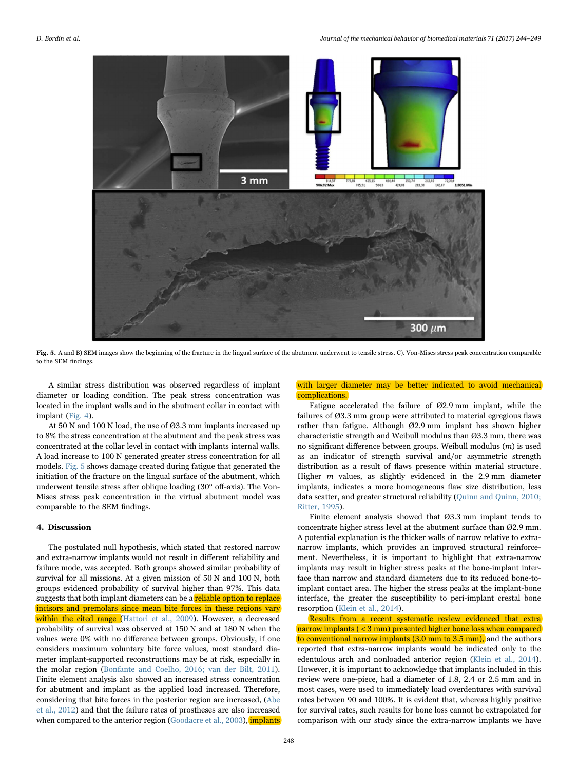<span id="page-4-0"></span>

Fig. 5. A and B) SEM images show the beginning of the fracture in the lingual surface of the abutment underwent to tensile stress. C). Von-Mises stress peak concentration comparable to the SEM findings.

A similar stress distribution was observed regardless of implant diameter or loading condition. The peak stress concentration was located in the implant walls and in the abutment collar in contact with implant ([Fig. 4](#page-3-2)).

At 50 N and 100 N load, the use of Ø3.3 mm implants increased up to 8% the stress concentration at the abutment and the peak stress was concentrated at the collar level in contact with implants internal walls. A load increase to 100 N generated greater stress concentration for all models. [Fig. 5](#page-4-0) shows damage created during fatigue that generated the initiation of the fracture on the lingual surface of the abutment, which underwent tensile stress after oblique loading (30° off-axis). The Von-Mises stress peak concentration in the virtual abutment model was comparable to the SEM findings.

#### 4. Discussion

The postulated null hypothesis, which stated that restored narrow and extra-narrow implants would not result in different reliability and failure mode, was accepted. Both groups showed similar probability of survival for all missions. At a given mission of 50 N and 100 N, both groups evidenced probability of survival higher than 97%. This data suggests that both implant diameters can be a reliable option to replace incisors and premolars since mean bite forces in these regions vary within the cited range ([Hattori et al., 2009](#page-5-3)). However, a decreased probability of survival was observed at 150 N and at 180 N when the values were 0% with no difference between groups. Obviously, if one considers maximum voluntary bite force values, most standard diameter implant-supported reconstructions may be at risk, especially in the molar region ([Bonfante and Coelho, 2016; van der Bilt, 2011\)](#page-5-13). Finite element analysis also showed an increased stress concentration for abutment and implant as the applied load increased. Therefore, considering that bite forces in the posterior region are increased, ([Abe](#page-5-17) [et al., 2012\)](#page-5-17) and that the failure rates of prostheses are also increased when compared to the anterior region ([Goodacre et al., 2003](#page-5-18)), *implants* 

## with larger diameter may be better indicated to avoid mechanical complications.

Fatigue accelerated the failure of Ø2.9 mm implant, while the failures of Ø3.3 mm group were attributed to material egregious flaws rather than fatigue. Although Ø2.9 mm implant has shown higher characteristic strength and Weibull modulus than Ø3.3 mm, there was no significant difference between groups. Weibull modulus (m) is used as an indicator of strength survival and/or asymmetric strength distribution as a result of flaws presence within material structure. Higher m values, as slightly evidenced in the 2.9 mm diameter implants, indicates a more homogeneous flaw size distribution, less data scatter, and greater structural reliability ([Quinn and Quinn, 2010;](#page-5-19) [Ritter, 1995\)](#page-5-19).

Finite element analysis showed that Ø3.3 mm implant tends to concentrate higher stress level at the abutment surface than Ø2.9 mm. A potential explanation is the thicker walls of narrow relative to extranarrow implants, which provides an improved structural reinforcement. Nevertheless, it is important to highlight that extra-narrow implants may result in higher stress peaks at the bone-implant interface than narrow and standard diameters due to its reduced bone-toimplant contact area. The higher the stress peaks at the implant-bone interface, the greater the susceptibility to peri-implant crestal bone resorption ([Klein et al., 2014\)](#page-5-20).

Results from a recent systematic review evidenced that extra narrow implants ( < 3 mm) presented higher bone loss when compared to conventional narrow implants (3.0 mm to 3.5 mm), and the authors reported that extra-narrow implants would be indicated only to the edentulous arch and nonloaded anterior region ([Klein et al., 2014\)](#page-5-20). However, it is important to acknowledge that implants included in this review were one-piece, had a diameter of 1.8, 2.4 or 2.5 mm and in most cases, were used to immediately load overdentures with survival rates between 90 and 100%. It is evident that, whereas highly positive for survival rates, such results for bone loss cannot be extrapolated for comparison with our study since the extra-narrow implants we have